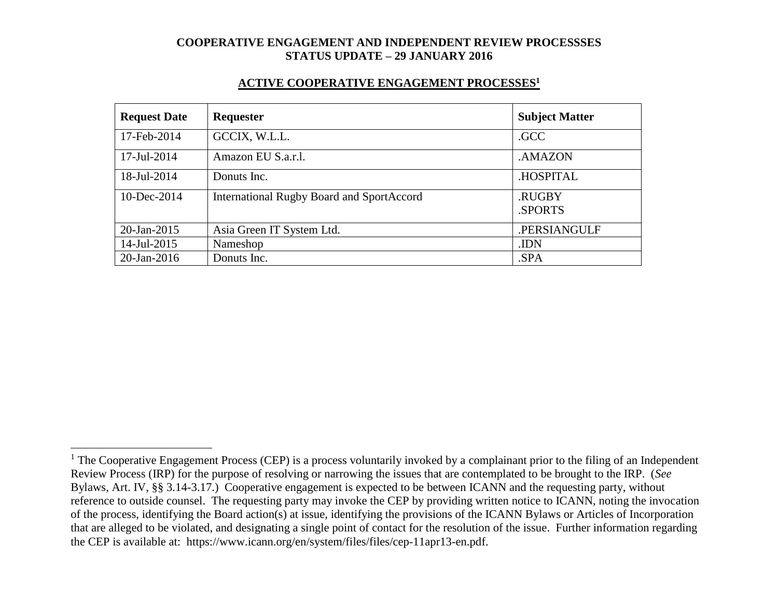#### **ACTIVE COOPERATIVE ENGAGEMENT PROCESSES<sup>1</sup>**

| <b>Request Date</b> | Requester                                        | <b>Subject Matter</b> |
|---------------------|--------------------------------------------------|-----------------------|
| 17-Feb-2014         | GCCIX, W.L.L.                                    | .GCC                  |
| 17-Jul-2014         | Amazon EU S.a.r.l.                               | .AMAZON               |
| 18-Jul-2014         | Donuts Inc.                                      | .HOSPITAL             |
| $10$ -Dec-2014      | <b>International Rugby Board and SportAccord</b> | .RUGBY<br>.SPORTS     |
| $20$ -Jan-2015      | Asia Green IT System Ltd.                        | .PERSIANGULF          |
| 14-Jul-2015         | Nameshop                                         | .IDN                  |
| $20$ -Jan-2016      | Donuts Inc.                                      | .SPA                  |

 $\overline{a}$ 

 $1$  The Cooperative Engagement Process (CEP) is a process voluntarily invoked by a complainant prior to the filing of an Independent Review Process (IRP) for the purpose of resolving or narrowing the issues that are contemplated to be brought to the IRP. (*See* Bylaws, Art. IV, §§ 3.14-3.17.) Cooperative engagement is expected to be between ICANN and the requesting party, without reference to outside counsel. The requesting party may invoke the CEP by providing written notice to ICANN, noting the invocation of the process, identifying the Board action(s) at issue, identifying the provisions of the ICANN Bylaws or Articles of Incorporation that are alleged to be violated, and designating a single point of contact for the resolution of the issue. Further information regarding the CEP is available at: https://www.icann.org/en/system/files/files/cep-11apr13-en.pdf.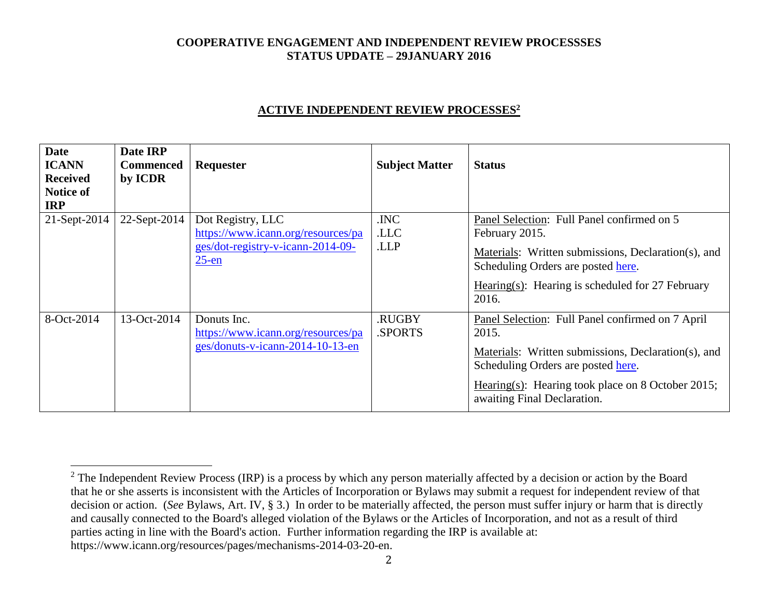### **ACTIVE INDEPENDENT REVIEW PROCESSES<sup>2</sup>**

| <b>Date</b><br><b>ICANN</b><br><b>Received</b><br><b>Notice of</b><br><b>IRP</b> | Date IRP<br><b>Commenced</b><br>by ICDR | Requester                                                                                                | <b>Subject Matter</b> | <b>Status</b>                                                                                                                                                                                                                              |
|----------------------------------------------------------------------------------|-----------------------------------------|----------------------------------------------------------------------------------------------------------|-----------------------|--------------------------------------------------------------------------------------------------------------------------------------------------------------------------------------------------------------------------------------------|
| 21-Sept-2014                                                                     | 22-Sept-2014                            | Dot Registry, LLC<br>https://www.icann.org/resources/pa<br>ges/dot-registry-v-icann-2014-09-<br>$25$ -en | .INC<br>.LLC<br>.LLP  | Panel Selection: Full Panel confirmed on 5<br>February 2015.<br>Materials: Written submissions, Declaration(s), and<br>Scheduling Orders are posted here.<br>Hearing(s): Hearing is scheduled for 27 February<br>2016.                     |
| 8-Oct-2014                                                                       | 13-Oct-2014                             | Donuts Inc.<br>https://www.icann.org/resources/pa<br>ges/donuts-v-icann-2014-10-13-en                    | .RUGBY<br>.SPORTS     | Panel Selection: Full Panel confirmed on 7 April<br>2015.<br>Materials: Written submissions, Declaration(s), and<br>Scheduling Orders are posted here.<br>Hearing(s): Hearing took place on 8 October 2015;<br>awaiting Final Declaration. |

 $\overline{a}$ 

<sup>&</sup>lt;sup>2</sup> The Independent Review Process (IRP) is a process by which any person materially affected by a decision or action by the Board that he or she asserts is inconsistent with the Articles of Incorporation or Bylaws may submit a request for independent review of that decision or action. (*See* Bylaws, Art. IV, § 3.) In order to be materially affected, the person must suffer injury or harm that is directly and causally connected to the Board's alleged violation of the Bylaws or the Articles of Incorporation, and not as a result of third parties acting in line with the Board's action. Further information regarding the IRP is available at: https://www.icann.org/resources/pages/mechanisms-2014-03-20-en.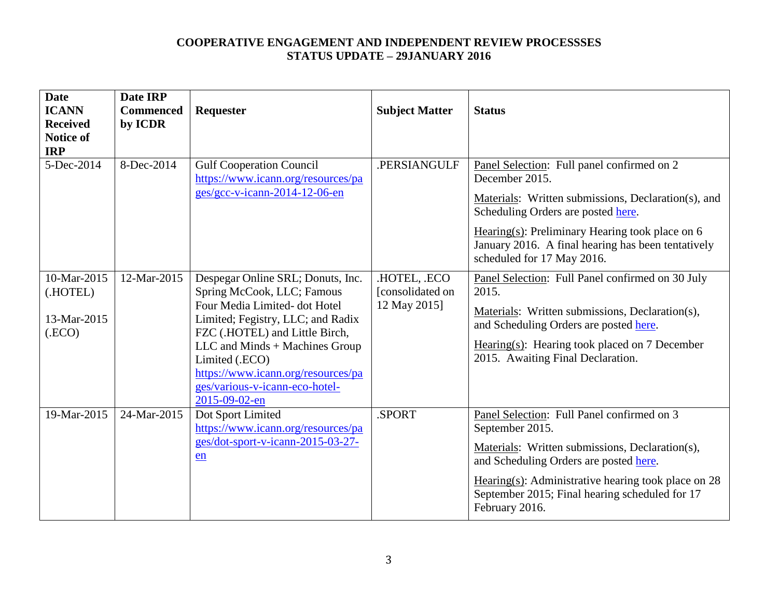| <b>Date</b><br><b>ICANN</b><br><b>Received</b><br><b>Notice of</b><br><b>IRP</b> | Date IRP<br><b>Commenced</b><br>by ICDR | Requester                                                                                                                                                                                                                                                                                                           | <b>Subject Matter</b>                            | <b>Status</b>                                                                                                                                                                                                                                                                                        |
|----------------------------------------------------------------------------------|-----------------------------------------|---------------------------------------------------------------------------------------------------------------------------------------------------------------------------------------------------------------------------------------------------------------------------------------------------------------------|--------------------------------------------------|------------------------------------------------------------------------------------------------------------------------------------------------------------------------------------------------------------------------------------------------------------------------------------------------------|
| 5-Dec-2014                                                                       | 8-Dec-2014                              | <b>Gulf Cooperation Council</b><br>https://www.icann.org/resources/pa<br>ges/gcc-v-icann-2014-12-06-en                                                                                                                                                                                                              | .PERSIANGULF                                     | Panel Selection: Full panel confirmed on 2<br>December 2015.<br>Materials: Written submissions, Declaration(s), and<br>Scheduling Orders are posted here.<br>Hearing $(s)$ : Preliminary Hearing took place on 6<br>January 2016. A final hearing has been tentatively<br>scheduled for 17 May 2016. |
| 10-Mar-2015<br>(.HOTEL)<br>13-Mar-2015<br>$($ .ECO $)$                           | 12-Mar-2015                             | Despegar Online SRL; Donuts, Inc.<br>Spring McCook, LLC; Famous<br>Four Media Limited-dot Hotel<br>Limited; Fegistry, LLC; and Radix<br>FZC (.HOTEL) and Little Birch,<br>LLC and Minds + Machines Group<br>Limited (.ECO)<br>https://www.icann.org/resources/pa<br>ges/various-v-icann-eco-hotel-<br>2015-09-02-en | .HOTEL, .ECO<br>[consolidated on<br>12 May 2015] | Panel Selection: Full Panel confirmed on 30 July<br>2015.<br>Materials: Written submissions, Declaration(s),<br>and Scheduling Orders are posted here.<br>Hearing $(s)$ : Hearing took placed on 7 December<br>2015. Awaiting Final Declaration.                                                     |
| 19-Mar-2015                                                                      | 24-Mar-2015                             | Dot Sport Limited<br>https://www.icann.org/resources/pa<br>ges/dot-sport-v-icann-2015-03-27-<br>en                                                                                                                                                                                                                  | .SPORT                                           | Panel Selection: Full Panel confirmed on 3<br>September 2015.<br>Materials: Written submissions, Declaration(s),<br>and Scheduling Orders are posted here.<br>Hearing(s): Administrative hearing took place on $28$<br>September 2015; Final hearing scheduled for 17<br>February 2016.              |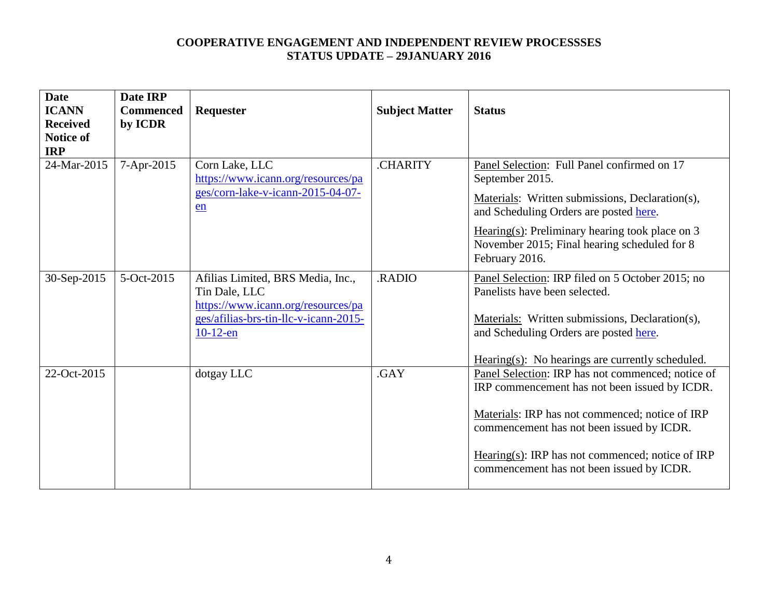| <b>Date</b><br><b>ICANN</b><br><b>Received</b><br><b>Notice of</b><br><b>IRP</b> | Date IRP<br><b>Commenced</b><br>by ICDR | <b>Requester</b>                                                                                                                                 | <b>Subject Matter</b> | <b>Status</b>                                                                                                                                                                                                                                                                                       |
|----------------------------------------------------------------------------------|-----------------------------------------|--------------------------------------------------------------------------------------------------------------------------------------------------|-----------------------|-----------------------------------------------------------------------------------------------------------------------------------------------------------------------------------------------------------------------------------------------------------------------------------------------------|
| 24-Mar-2015                                                                      | 7-Apr-2015                              | Corn Lake, LLC<br>https://www.icann.org/resources/pa<br>ges/corn-lake-v-icann-2015-04-07-<br>en                                                  | <b>.CHARITY</b>       | Panel Selection: Full Panel confirmed on 17<br>September 2015.<br>Materials: Written submissions, Declaration(s),<br>and Scheduling Orders are posted here.<br>Hearing(s): Preliminary hearing took place on $3$<br>November 2015; Final hearing scheduled for 8<br>February 2016.                  |
| 30-Sep-2015                                                                      | 5-Oct-2015                              | Afilias Limited, BRS Media, Inc.,<br>Tin Dale, LLC<br>https://www.icann.org/resources/pa<br>ges/afilias-brs-tin-llc-v-icann-2015-<br>$10-12$ -en | <b>RADIO</b>          | Panel Selection: IRP filed on 5 October 2015; no<br>Panelists have been selected.<br>Materials: Written submissions, Declaration(s),<br>and Scheduling Orders are posted here.<br>$Hearing(s): No hearings are currently scheduled.$                                                                |
| 22-Oct-2015                                                                      |                                         | dotgay LLC                                                                                                                                       | .GAY                  | Panel Selection: IRP has not commenced; notice of<br>IRP commencement has not been issued by ICDR.<br>Materials: IRP has not commenced; notice of IRP<br>commencement has not been issued by ICDR.<br>Hearing(s): IRP has not commenced; notice of IRP<br>commencement has not been issued by ICDR. |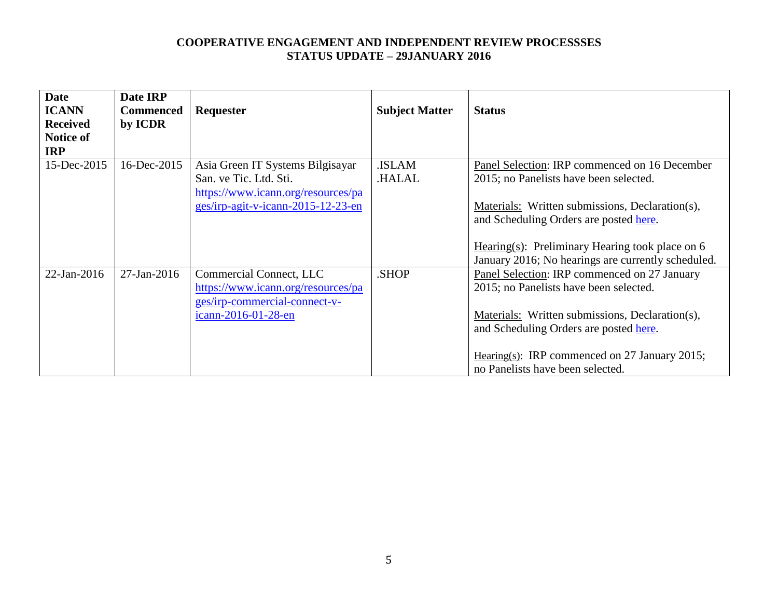| <b>Date</b><br><b>ICANN</b><br><b>Received</b><br>Notice of<br><b>IRP</b> | Date IRP<br><b>Commenced</b><br>by ICDR | Requester                                                                                                                              | <b>Subject Matter</b>        | <b>Status</b>                                                                                                                                                                                                                                                                                   |
|---------------------------------------------------------------------------|-----------------------------------------|----------------------------------------------------------------------------------------------------------------------------------------|------------------------------|-------------------------------------------------------------------------------------------------------------------------------------------------------------------------------------------------------------------------------------------------------------------------------------------------|
| 15-Dec-2015                                                               | 16-Dec-2015                             | Asia Green IT Systems Bilgisayar<br>San. ve Tic. Ltd. Sti.<br>https://www.icann.org/resources/pa<br>ges/irp-agit-v-icann-2015-12-23-en | <b>ISLAM</b><br><b>HALAL</b> | Panel Selection: IRP commenced on 16 December<br>2015; no Panelists have been selected.<br>Materials: Written submissions, Declaration(s),<br>and Scheduling Orders are posted here.<br>Hearing(s): Preliminary Hearing took place on $6$<br>January 2016; No hearings are currently scheduled. |
| 22-Jan-2016                                                               | $27$ -Jan-2016                          | Commercial Connect, LLC<br>https://www.icann.org/resources/pa<br>ges/irp-commercial-connect-v-<br>icann-2016-01-28-en                  | .SHOP                        | Panel Selection: IRP commenced on 27 January<br>2015; no Panelists have been selected.<br>Materials: Written submissions, Declaration(s),<br>and Scheduling Orders are posted here.<br>Hearing(s): IRP commenced on 27 January 2015;<br>no Panelists have been selected.                        |